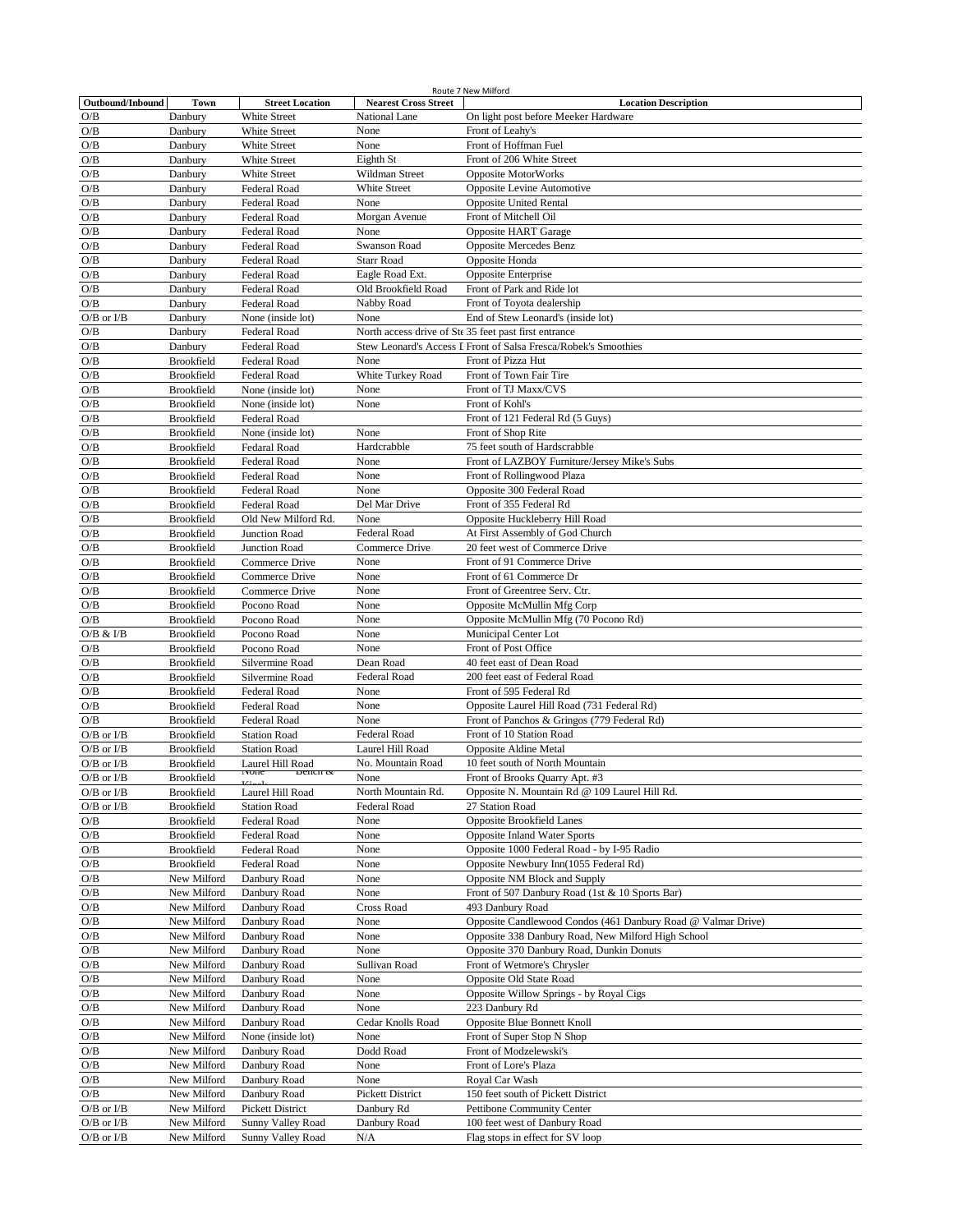|                  |                   |                            |                             | Route 7 New Milford                                             |
|------------------|-------------------|----------------------------|-----------------------------|-----------------------------------------------------------------|
| Outbound/Inbound | Town              | <b>Street Location</b>     | <b>Nearest Cross Street</b> | <b>Location Description</b>                                     |
| O/B              | Danbury           | White Street               | <b>National Lane</b>        | On light post before Meeker Hardware                            |
| O/B              | Danbury           | White Street               | None                        | Front of Leahy's                                                |
| O/B              | Danbury           | White Street               | None                        | Front of Hoffman Fuel                                           |
| O/B              | Danbury           | White Street               | Eighth St                   | Front of 206 White Street                                       |
| O/B              | Danbury           | White Street               | Wildman Street              | <b>Opposite MotorWorks</b>                                      |
| O/B              | Danbury           | <b>Federal Road</b>        | White Street                | Opposite Levine Automotive                                      |
| O/B              | Danbury           | Federal Road               | None                        | <b>Opposite United Rental</b>                                   |
|                  |                   |                            |                             |                                                                 |
| O/B              | Danbury           | Federal Road               | Morgan Avenue               | Front of Mitchell Oil                                           |
| O/B              | Danbury           | <b>Federal Road</b>        | None                        | Opposite HART Garage                                            |
| O/B              | Danbury           | Federal Road               | Swanson Road                | Opposite Mercedes Benz                                          |
| O/B              | Danbury           | Federal Road               | <b>Starr Road</b>           | Opposite Honda                                                  |
| O/B              | Danbury           | Federal Road               | Eagle Road Ext.             | Opposite Enterprise                                             |
| O/B              | Danbury           | Federal Road               | Old Brookfield Road         | Front of Park and Ride lot                                      |
| O/B              | Danbury           | Federal Road               | Nabby Road                  | Front of Toyota dealership                                      |
| $O/B$ or $I/B$   |                   |                            | None                        | End of Stew Leonard's (inside lot)                              |
|                  | Danbury           | None (inside lot)          |                             |                                                                 |
| O/B              | Danbury           | Federal Road               |                             | North access drive of Ste 35 feet past first entrance           |
| O/B              | Danbury           | Federal Road               |                             | Stew Leonard's Access I Front of Salsa Fresca/Robek's Smoothies |
| O/B              | <b>Brookfield</b> | <b>Federal Road</b>        | None                        | Front of Pizza Hut                                              |
| O/B              | Brookfield        | Federal Road               | White Turkey Road           | Front of Town Fair Tire                                         |
| O/B              | Brookfield        | None (inside lot)          | None                        | Front of TJ Maxx/CVS                                            |
| O/B              | Brookfield        | None (inside lot)          | None                        | Front of Kohl's                                                 |
| O/B              | <b>Brookfield</b> | <b>Federal Road</b>        |                             | Front of 121 Federal Rd (5 Guys)                                |
|                  |                   |                            |                             |                                                                 |
| O/B              | <b>Brookfield</b> | None (inside lot)          | None                        | Front of Shop Rite                                              |
| O/B              | <b>Brookfield</b> | Fedaral Road               | Hardcrabble                 | 75 feet south of Hardscrabble                                   |
| O/B              | <b>Brookfield</b> | Federal Road               | None                        | Front of LAZBOY Furniture/Jersey Mike's Subs                    |
| O/B              | <b>Brookfield</b> | Federal Road               | None                        | Front of Rollingwood Plaza                                      |
| O/B              | <b>Brookfield</b> | Federal Road               | None                        | Opposite 300 Federal Road                                       |
| O/B              | <b>Brookfield</b> | Federal Road               | Del Mar Drive               | Front of 355 Federal Rd                                         |
| O/B              | <b>Brookfield</b> | Old New Milford Rd.        | None                        | Opposite Huckleberry Hill Road                                  |
|                  |                   |                            |                             |                                                                 |
| O/B              | <b>Brookfield</b> | Junction Road              | <b>Federal Road</b>         | At First Assembly of God Church                                 |
| O/B              | Brookfield        | Junction Road              | Commerce Drive              | 20 feet west of Commerce Drive                                  |
| O/B              | <b>Brookfield</b> | Commerce Drive             | None                        | Front of 91 Commerce Drive                                      |
| O/B              | Brookfield        | Commerce Drive             | None                        | Front of 61 Commerce Dr                                         |
| O/B              | Brookfield        | Commerce Drive             | None                        | Front of Greentree Serv. Ctr.                                   |
| O/B              | <b>Brookfield</b> | Pocono Road                | None                        | Opposite McMullin Mfg Corp                                      |
| O/B              | <b>Brookfield</b> | Pocono Road                | None                        | Opposite McMullin Mfg (70 Pocono Rd)                            |
|                  |                   |                            |                             |                                                                 |
| O/B & I/B        | <b>Brookfield</b> | Pocono Road                | None                        | Municipal Center Lot                                            |
| O/B              | <b>Brookfield</b> | Pocono Road                | None                        | Front of Post Office                                            |
| O/B              | <b>Brookfield</b> | Silvermine Road            | Dean Road                   | 40 feet east of Dean Road                                       |
| O/B              | <b>Brookfield</b> | Silvermine Road            | Federal Road                | 200 feet east of Federal Road                                   |
| $\rm O/B$        | <b>Brookfield</b> | <b>Federal Road</b>        | None                        | Front of 595 Federal Rd                                         |
| O/B              | Brookfield        | <b>Federal Road</b>        | None                        | Opposite Laurel Hill Road (731 Federal Rd)                      |
| O/B              | <b>Brookfield</b> | Federal Road               | None                        | Front of Panchos & Gringos (779 Federal Rd)                     |
|                  |                   |                            |                             |                                                                 |
| $O/B$ or $I/B$   | <b>Brookfield</b> | <b>Station Road</b>        | <b>Federal Road</b>         | Front of 10 Station Road                                        |
| $O/B$ or $I/B$   | Brookfield        | <b>Station Road</b>        | Laurel Hill Road            | Opposite Aldine Metal                                           |
| $O/B$ or $I/B$   | Brookfield        | Laurel Hill Road           | No. Mountain Road           | 10 feet south of North Mountain                                 |
| $O/B$ or $I/B$   | Brookfield        | ivone<br>$D$ ench $\alpha$ | None                        | Front of Brooks Quarry Apt. #3                                  |
| $O/B$ or $I/B$   | Brookfield        | Laurel Hill Road           | North Mountain Rd.          | Opposite N. Mountain Rd @ 109 Laurel Hill Rd.                   |
| $O/B$ or $I/B$   | Brookfield        | <b>Station Road</b>        | Federal Road                | 27 Station Road                                                 |
|                  |                   |                            |                             | <b>Opposite Brookfield Lanes</b>                                |
| O/B              | Brookfield        | Federal Road               | None                        |                                                                 |
| O/B              | Brookfield        | Federal Road               | None                        | <b>Opposite Inland Water Sports</b>                             |
| O/B              | Brookfield        | Federal Road               | None                        | Opposite 1000 Federal Road - by I-95 Radio                      |
| O/B              | Brookfield        | Federal Road               | None                        | Opposite Newbury Inn(1055 Federal Rd)                           |
| O/B              | New Milford       | Danbury Road               | None                        | Opposite NM Block and Supply                                    |
| O/B              | New Milford       | Danbury Road               | None                        | Front of 507 Danbury Road (1st & 10 Sports Bar)                 |
| O/B              | New Milford       | Danbury Road               | Cross Road                  | 493 Danbury Road                                                |
| O/B              | New Milford       | Danbury Road               | None                        | Opposite Candlewood Condos (461 Danbury Road @ Valmar Drive)    |
|                  |                   |                            |                             |                                                                 |
| O/B              | New Milford       | Danbury Road               | None                        | Opposite 338 Danbury Road, New Milford High School              |
| O/B              | New Milford       | Danbury Road               | None                        | Opposite 370 Danbury Road, Dunkin Donuts                        |
| $\rm O/B$        | New Milford       | Danbury Road               | Sullivan Road               | Front of Wetmore's Chrysler                                     |
| O/B              | New Milford       | Danbury Road               | None                        | Opposite Old State Road                                         |
| O/B              | New Milford       | Danbury Road               | None                        | Opposite Willow Springs - by Royal Cigs                         |
| O/B              | New Milford       | Danbury Road               | None                        | 223 Danbury Rd                                                  |
| O/B              | New Milford       | Danbury Road               | Cedar Knolls Road           | Opposite Blue Bonnett Knoll                                     |
|                  |                   |                            |                             |                                                                 |
| O/B              | New Milford       | None (inside lot)          | None                        | Front of Super Stop N Shop                                      |
| O/B              | New Milford       | Danbury Road               | Dodd Road                   | Front of Modzelewski's                                          |
| O/B              | New Milford       | Danbury Road               | None                        | Front of Lore's Plaza                                           |
| O/B              | New Milford       | Danbury Road               | None                        | Royal Car Wash                                                  |
| O/B              | New Milford       | Danbury Road               | Pickett District            | 150 feet south of Pickett District                              |
| $O/B$ or $I/B$   | New Milford       | Pickett District           | Danbury Rd                  | Pettibone Community Center                                      |
| $O/B$ or $I/B$   |                   |                            | Danbury Road                | 100 feet west of Danbury Road                                   |
|                  | New Milford       | Sunny Valley Road          |                             |                                                                 |
| $O/B$ or $I/B$   | New Milford       | Sunny Valley Road          | N/A                         | Flag stops in effect for SV loop                                |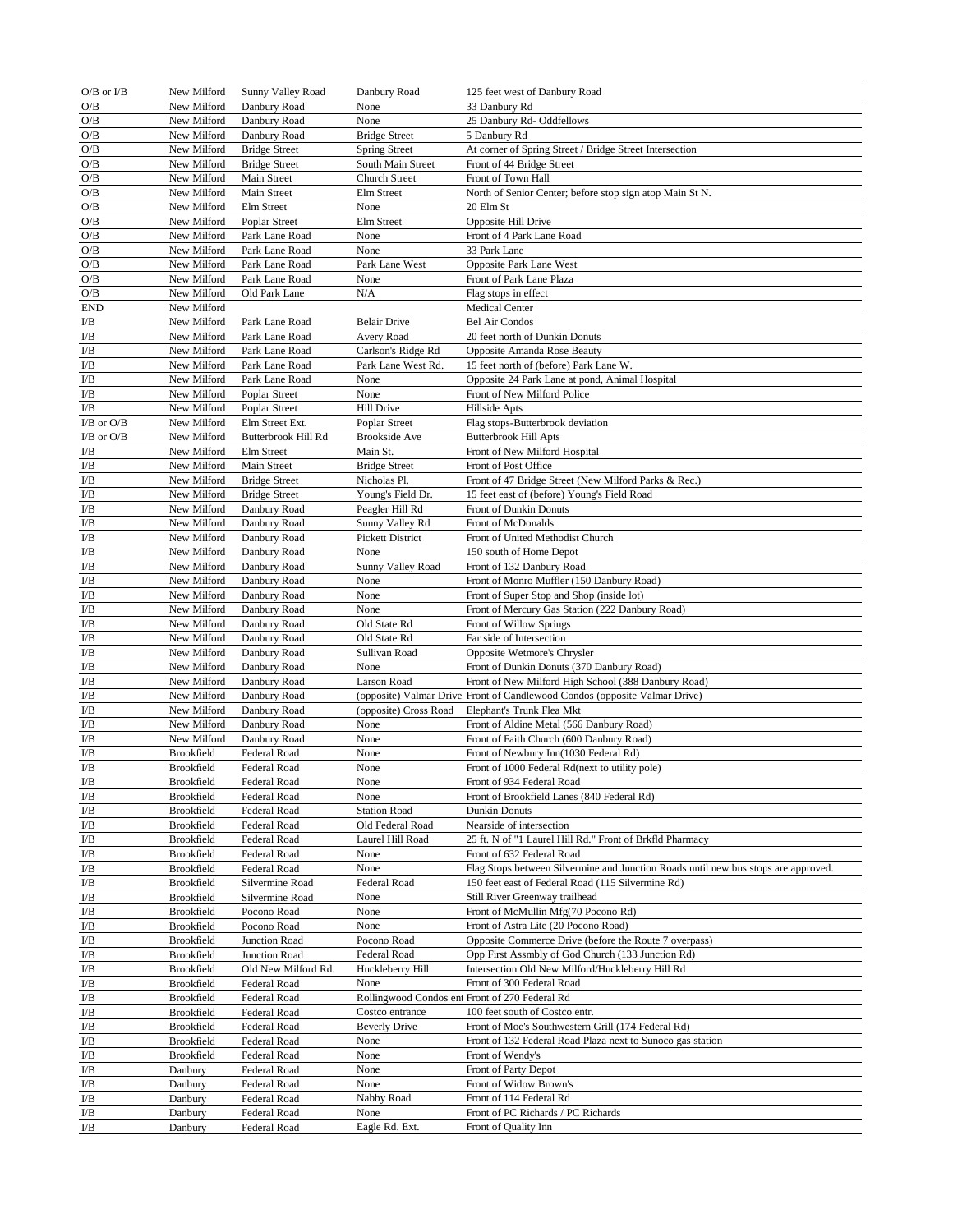| $O/B$ or $I/B$          | New Milford | Sunny Valley Road    | Danbury Road             | 125 feet west of Danbury Road                                                      |
|-------------------------|-------------|----------------------|--------------------------|------------------------------------------------------------------------------------|
| O/B                     | New Milford | Danbury Road         | None                     | 33 Danbury Rd                                                                      |
| O/B                     | New Milford | Danbury Road         | None                     | 25 Danbury Rd- Oddfellows                                                          |
| $\rm O/B$               | New Milford | Danbury Road         | <b>Bridge Street</b>     | 5 Danbury Rd                                                                       |
| O/B                     | New Milford | <b>Bridge Street</b> | <b>Spring Street</b>     | At corner of Spring Street / Bridge Street Intersection                            |
| O/B                     | New Milford | <b>Bridge Street</b> | South Main Street        | Front of 44 Bridge Street                                                          |
| O/B                     | New Milford | Main Street          | <b>Church Street</b>     | Front of Town Hall                                                                 |
| O/B                     | New Milford | Main Street          | Elm Street               | North of Senior Center; before stop sign atop Main St N                            |
| O/B                     | New Milford | Elm Street           | None                     | 20 Elm St                                                                          |
| O/B                     | New Milford | Poplar Street        | Elm Street               | Opposite Hill Drive                                                                |
| O/B                     | New Milford | Park Lane Road       |                          | Front of 4 Park Lane Road                                                          |
|                         | New Milford |                      | None<br>None             |                                                                                    |
| O/B                     |             | Park Lane Road       |                          | 33 Park Lane                                                                       |
| O/B                     | New Milford | Park Lane Road       | Park Lane West           | Opposite Park Lane West                                                            |
| O/B                     | New Milford | Park Lane Road       | None                     | Front of Park Lane Plaza                                                           |
| O/B                     | New Milford | Old Park Lane        | N/A                      | Flag stops in effect                                                               |
| <b>END</b>              | New Milford |                      |                          | <b>Medical Center</b>                                                              |
| $\mathbf{L} \mathbf{B}$ | New Milford | Park Lane Road       | <b>Belair Drive</b>      | <b>Bel Air Condos</b>                                                              |
| $\mathbf{L} \mathbf{B}$ | New Milford | Park Lane Road       | Avery Road               | 20 feet north of Dunkin Donuts                                                     |
| $\mathbf{I}/\mathbf{B}$ | New Milford | Park Lane Road       | Carlson's Ridge Rd       | Opposite Amanda Rose Beauty                                                        |
| I/Β                     | New Milford | Park Lane Road       | Park Lane West Rd.       | 15 feet north of (before) Park Lane W.                                             |
| $\mathbf{I}/\mathbf{B}$ | New Milford | Park Lane Road       | None                     | Opposite 24 Park Lane at pond, Animal Hospital                                     |
| $\rm I/B$               | New Milford | Poplar Street        | None                     | Front of New Milford Police                                                        |
| $\rm{I/B}$              | New Milford | Poplar Street        | <b>Hill Drive</b>        | Hillside Apts                                                                      |
| $I/B$ or $O/B$          | New Milford | Elm Street Ext.      | Poplar Street            | Flag stops-Butterbrook deviation                                                   |
| $I/B$ or $O/B$          | New Milford | Butterbrook Hill Rd  | <b>Brookside Ave</b>     | <b>Butterbrook Hill Apts</b>                                                       |
| I/B                     | New Milford | Elm Street           | Main St.                 | Front of New Milford Hospital                                                      |
| I/Β                     | New Milford | Main Street          | <b>Bridge Street</b>     | Front of Post Office                                                               |
| $\mathbf{I}/\mathbf{B}$ | New Milford | <b>Bridge Street</b> | Nicholas Pl.             | Front of 47 Bridge Street (New Milford Parks & Rec.)                               |
| $\mathbf{I}/\mathbf{B}$ | New Milford | <b>Bridge Street</b> | Young's Field Dr.        | 15 feet east of (before) Young's Field Road                                        |
| $\mathbf{I}/\mathbf{B}$ | New Milford | Danbury Road         | Peagler Hill Rd          | Front of Dunkin Donuts                                                             |
| $\mathbf{I}/\mathbf{B}$ | New Milford | Danbury Road         | Sunny Valley Rd          | Front of McDonalds                                                                 |
| $\mathbf{I}/\mathbf{B}$ | New Milford | Danbury Road         | Pickett District         | Front of United Methodist Church                                                   |
| $\mathbf{I}/\mathbf{B}$ | New Milford | Danbury Road         | None                     | 150 south of Home Depot                                                            |
| I/B                     | New Milford | Danbury Road         | Sunny Valley Road        | Front of 132 Danbury Road                                                          |
| I/B                     | New Milford | Danbury Road         | None                     | Front of Monro Muffler (150 Danbury Road)                                          |
| I/Β                     | New Milford | Danbury Road         | None                     | Front of Super Stop and Shop (inside lot)                                          |
| $\mathbf{I}/\mathbf{B}$ | New Milford | Danbury Road         | None                     | Front of Mercury Gas Station (222 Danbury Road)                                    |
| $\mathbf{I}/\mathbf{B}$ | New Milford | Danbury Road         | Old State Rd             | Front of Willow Springs                                                            |
| I/Β                     | New Milford | Danbury Road         | Old State Rd             | Far side of Intersection                                                           |
| I/Β                     | New Milford | Danbury Road         | Sullivan Road            | Opposite Wetmore's Chrysler                                                        |
| $\mathbf{I}/\mathbf{B}$ | New Milford | Danbury Road         | None                     | Front of Dunkin Donuts (370 Danbury Road)                                          |
| $\mathbf{I}/\mathbf{B}$ | New Milford | Danbury Road         | Larson Road              | Front of New Milford High School (388 Danbury Road)                                |
| $\mathbf{I}/\mathbf{B}$ | New Milford | Danbury Road         |                          | (opposite) Valmar Drive Front of Candlewood Condos (opposite Valmar Drive)         |
| $\mathbf{I}/\mathbf{B}$ | New Milford | Danbury Road         | (opposite) Cross Road    | Elephant's Trunk Flea Mkt                                                          |
| $\mathbf{I}/\mathbf{B}$ | New Milford | Danbury Road         | None                     | Front of Aldine Metal (566 Danbury Road)                                           |
|                         |             |                      | None                     | Front of Faith Church (600 Danbury Road)                                           |
| $\mathbf{I}/\mathbf{B}$ | New Milford | Danbury Road         |                          |                                                                                    |
| I/B                     | Brookfield  | Federal Road         | None                     | Front of Newbury Inn(1030 Federal Rd)                                              |
| $\rm I/B$               | Brookfield  | Federal Road         | None                     | Front of 1000 Federal Rd(next to utility pole)                                     |
| ${\bf I/B}$             | Brookfield  | Federal Road         | $\overline{\text{None}}$ | Front of 934 Federal Road                                                          |
| $\mathbf{I}/\mathbf{B}$ | Brookfield  | Federal Road         | None                     | Front of Brookfield Lanes (840 Federal Rd)                                         |
| I/B                     | Brookfield  | Federal Road         | <b>Station Road</b>      | Dunkin Donuts                                                                      |
| $\mathbf{L} \mathbf{B}$ | Brookfield  | Federal Road         | Old Federal Road         | Nearside of intersection                                                           |
| I/B                     | Brookfield  | Federal Road         | Laurel Hill Road         | 25 ft. N of "1 Laurel Hill Rd." Front of Brkfld Pharmacy                           |
| I/B                     | Brookfield  | Federal Road         | None                     | Front of 632 Federal Road                                                          |
| $\mathbf{L} \mathbf{B}$ | Brookfield  | Federal Road         | None                     | Flag Stops between Silvermine and Junction Roads until new bus stops are approved. |
| $\rm I/B$               | Brookfield  | Silvermine Road      | Federal Road             | 150 feet east of Federal Road (115 Silvermine Rd)                                  |
| ${\rm I/B}$             | Brookfield  | Silvermine Road      | None                     | Still River Greenway trailhead                                                     |
| $\rm I/B$               | Brookfield  | Pocono Road          | None                     | Front of McMullin Mfg(70 Pocono Rd)                                                |
| $\rm{I/B}$              | Brookfield  | Pocono Road          | None                     | Front of Astra Lite (20 Pocono Road)                                               |
| $\rm{I/B}$              | Brookfield  | Junction Road        | Pocono Road              | Opposite Commerce Drive (before the Route 7 overpass)                              |
| $\rm{I/B}$              | Brookfield  | Junction Road        | Federal Road             | Opp First Assmbly of God Church (133 Junction Rd)                                  |
| I/B                     | Brookfield  | Old New Milford Rd.  | Huckleberry Hill         | Intersection Old New Milford/Huckleberry Hill Rd                                   |
| I/Β                     | Brookfield  | Federal Road         | None                     | Front of 300 Federal Road                                                          |
| I/B                     | Brookfield  | Federal Road         |                          | Rollingwood Condos ent Front of 270 Federal Rd                                     |
| I/B                     | Brookfield  | Federal Road         | Costco entrance          | 100 feet south of Costco entr.                                                     |
| $\mathbf{I}/\mathbf{B}$ | Brookfield  | Federal Road         | <b>Beverly Drive</b>     | Front of Moe's Southwestern Grill (174 Federal Rd)                                 |
| $\mathbf{I}/\mathbf{B}$ | Brookfield  | Federal Road         | None                     | Front of 132 Federal Road Plaza next to Sunoco gas station                         |
| $\mathbf{I}/\mathbf{B}$ | Brookfield  | Federal Road         | None                     | Front of Wendy's                                                                   |
| $\rm I/B$               | Danbury     | Federal Road         | None                     | Front of Party Depot                                                               |
| I/Β                     | Danbury     | Federal Road         | None                     | Front of Widow Brown's                                                             |
| $\rm I/B$               | Danbury     | Federal Road         | Nabby Road               | Front of 114 Federal Rd                                                            |
| $\rm{I/B}$              | Danbury     | Federal Road         | None                     | Front of PC Richards / PC Richards                                                 |
| $\rm{I/B}$              | Danbury     | Federal Road         | Eagle Rd. Ext.           | Front of Quality Inn                                                               |
|                         |             |                      |                          |                                                                                    |